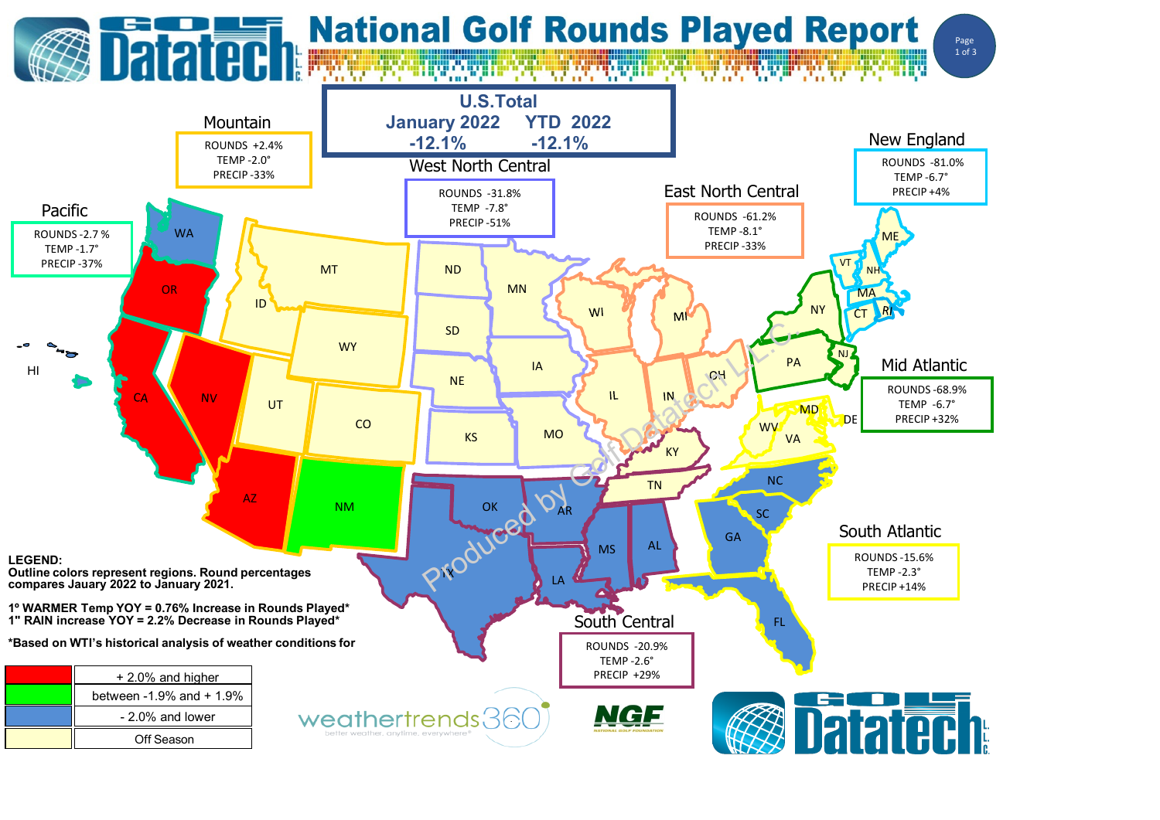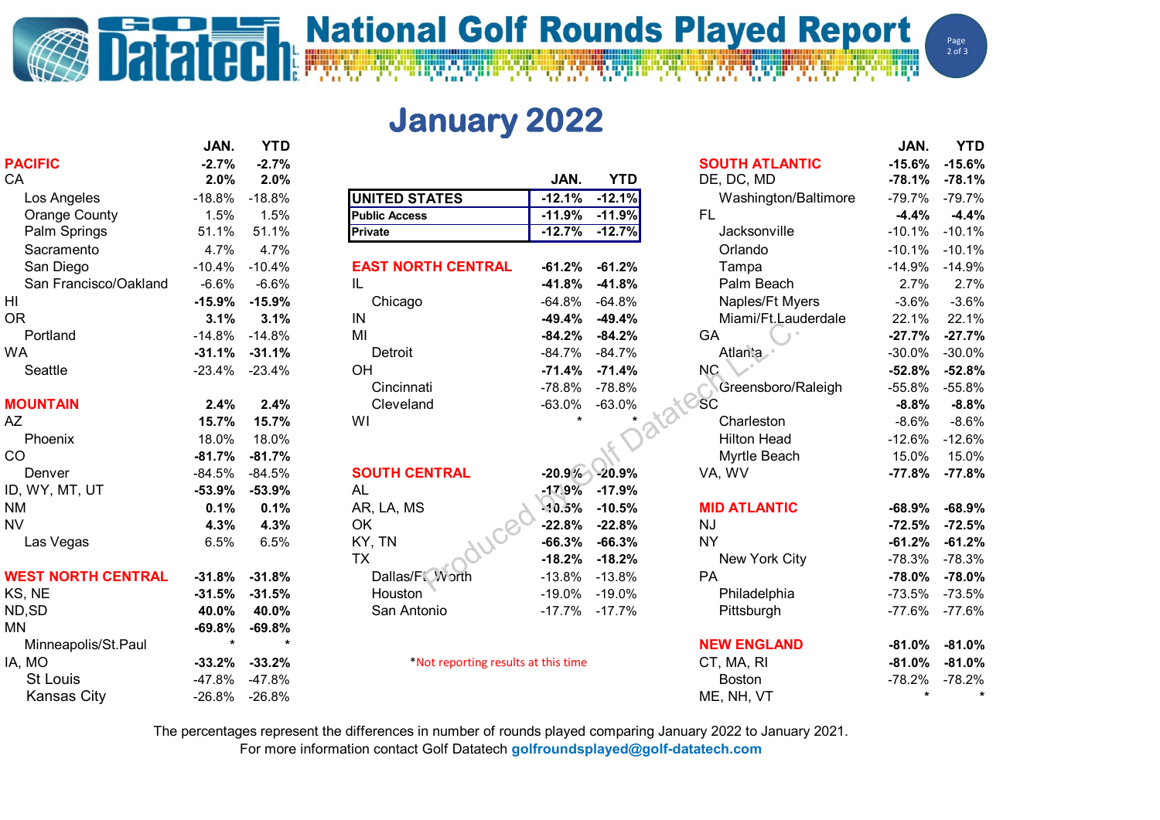## **National Golf Rounds Played Report**

Page  $2$  of 3

**January 2022**

|                           | JAN.     | <b>YTD</b> |                                     |          |                     |                       | JAN.      | <b>YTD</b> |
|---------------------------|----------|------------|-------------------------------------|----------|---------------------|-----------------------|-----------|------------|
| <b>PACIFIC</b>            | $-2.7%$  | $-2.7%$    |                                     |          |                     | <b>SOUTH ATLANTIC</b> | $-15.6%$  | $-15.6%$   |
| CA                        | 2.0%     | 2.0%       |                                     | JAN.     | <b>YTD</b>          | DE, DC, MD            | $-78.1%$  | $-78.1%$   |
| Los Angeles               | $-18.8%$ | $-18.8%$   | <b>UNITED STATES</b>                | $-12.1%$ | $-12.1%$            | Washington/Baltimore  | $-79.7%$  | $-79.7%$   |
| <b>Orange County</b>      | 1.5%     | 1.5%       | <b>Public Access</b>                | $-11.9%$ | $-11.9%$            | <b>FL</b>             | $-4.4%$   | $-4.4%$    |
| Palm Springs              | 51.1%    | 51.1%      | <b>Private</b>                      | $-12.7%$ | $-12.7%$            | Jacksonville          | $-10.1%$  | $-10.1%$   |
| Sacramento                | 4.7%     | 4.7%       |                                     |          |                     | Orlando               | $-10.1%$  | $-10.1%$   |
| San Diego                 | $-10.4%$ | $-10.4%$   | <b>EAST NORTH CENTRAL</b>           | $-61.2%$ | $-61.2%$            | Tampa                 | $-14.9%$  | $-14.9%$   |
| San Francisco/Oakland     | $-6.6%$  | $-6.6%$    | IL                                  | $-41.8%$ | $-41.8%$            | Palm Beach            | 2.7%      | 2.7%       |
| H <sub>l</sub>            | $-15.9%$ | $-15.9%$   | Chicago                             | $-64.8%$ | $-64.8%$            | Naples/Ft Myers       | $-3.6%$   | $-3.6%$    |
| <b>OR</b>                 | 3.1%     | 3.1%       | IN                                  | $-49.4%$ | $-49.4%$            | Miami/Ft.Lauderdale   | 22.1%     | 22.1%      |
| Portland                  | $-14.8%$ | $-14.8%$   | MI                                  | $-84.2%$ | $-84.2%$            | GA                    | $-27.7%$  | $-27.7%$   |
| <b>WA</b>                 | $-31.1%$ | $-31.1%$   | Detroit                             | $-84.7%$ | $-84.7%$            | Atlanta               | $-30.0%$  | $-30.0%$   |
| Seattle                   | $-23.4%$ | $-23.4%$   | OH                                  | $-71.4%$ | $-71.4%$            | <b>NC</b>             | $-52.8%$  | $-52.8%$   |
|                           |          |            | Cincinnati                          | $-78.8%$ | $-78.8%$            | Greensboro/Raleigh    | $-55.8%$  | $-55.8%$   |
| <b>MOUNTAIN</b>           | 2.4%     | 2.4%       | Cleveland                           | $-63.0%$ | $-63.0%$            | SC                    | $-8.8%$   | $-8.8%$    |
| AZ                        | 15.7%    | 15.7%      | WI                                  | $\star$  |                     | Charleston            | $-8.6%$   | $-8.6%$    |
| Phoenix                   | 18.0%    | 18.0%      |                                     |          |                     | <b>Hilton Head</b>    | $-12.6%$  | $-12.6%$   |
| CO                        | $-81.7%$ | $-81.7%$   |                                     |          |                     | Myrtle Beach          | 15.0%     | 15.0%      |
| Denver                    | $-84.5%$ | $-84.5%$   | <b>SOUTH CENTRAL</b>                |          | $-20.9\% -20.9\%$   | VA, WV                | $-77.8%$  | $-77.8%$   |
| ID, WY, MT, UT            | $-53.9%$ | $-53.9%$   | <b>AL</b>                           |          | $-17.9\%$ $-17.9\%$ |                       |           |            |
| <b>NM</b>                 | 0.1%     | 0.1%       | AR, LA, MS                          | .10.5%   | $-10.5%$            | <b>MID ATLANTIC</b>   | $-68.9%$  | $-68.9%$   |
| <b>NV</b>                 | 4.3%     | 4.3%       | OK                                  | $-22.8%$ | $-22.8%$            | <b>NJ</b>             | $-72.5%$  | $-72.5%$   |
| Las Vegas                 | 6.5%     | 6.5%       | KY, TN                              | $-66.3%$ | $-66.3%$            | <b>NY</b>             | $-61.2%$  | $-61.2%$   |
|                           |          |            | <b>TX</b>                           | $-18.2%$ | $-18.2%$            | New York City         | $-78.3%$  | $-78.3%$   |
| <b>WEST NORTH CENTRAL</b> | $-31.8%$ | $-31.8%$   | Dallas/F <sup>'</sup> Worth         | $-13.8%$ | $-13.8%$            | PA                    | $-78.0%$  | $-78.0%$   |
| KS, NE                    | $-31.5%$ | $-31.5%$   | Houston                             | $-19.0%$ | -19.0%              | Philadelphia          | $-73.5%$  | $-73.5%$   |
| ND, SD                    | 40.0%    | 40.0%      | San Antonio                         |          | $-17.7\% -17.7\%$   | Pittsburgh            | $-77.6%$  | $-77.6%$   |
| <b>MN</b>                 | $-69.8%$ | $-69.8%$   |                                     |          |                     |                       |           |            |
| Minneapolis/St.Paul       | $\star$  | $\star$    |                                     |          |                     | <b>NEW ENGLAND</b>    | $-81.0\%$ | $-81.0%$   |
| IA, MO                    | $-33.2%$ | $-33.2%$   | *Not reporting results at this time |          |                     | CT, MA, RI            | $-81.0%$  | $-81.0%$   |
| <b>St Louis</b>           | -47.8%   | $-47.8%$   |                                     |          |                     | <b>Boston</b>         | -78.2%    | $-78.2%$   |
| <b>Kansas City</b>        | $-26.8%$ | $-26.8%$   |                                     |          |                     | ME, NH, VT            |           |            |
|                           |          |            |                                     |          |                     |                       |           |            |

The percentages represent the differences in number of rounds played comparing January 2022 to January 2021.

For more information contact Golf Datatech **golfroundsplayed@golf-datatech.com**